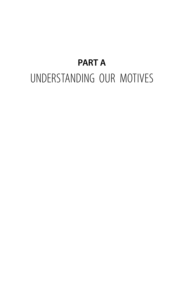# **PART A** UNDERSTANDING OUR MOTIVES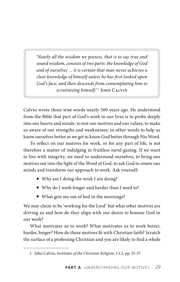'*Nearly all the wisdom we possess, that is to say true and sound wisdom, consists of two parts: the knowledge of God and of ourselves … it is certain that man never achieves a clear knowledge of himself unless he has first looked upon God's face, and then descends from contemplating him to scrutinizing himself.'* <sup>1</sup> John Calvin

**AAAAAAAAAAAAAAAAAAAAAAAAA** 

XXXXXXXXXXXX

**SSSSSSSSSSSSSS** 

Calvin wrote those wise words nearly 500 years ago. He understood from the Bible that part of God's work in our lives is to probe deeply into our hearts and minds, to test our motives and our values, to make us aware of our strengths and weaknesses; in other words to help us know ourselves better as we get to know God better through His Word.

To reflect on our motives for work, or for any part of life, is not therefore a matter of indulging in fruitless navel-gazing. If we want to live with integrity, we need to understand ourselves, to bring our motives out into the light of the Word of God, to ask God to renew our minds and transform our approach to work. Ask yourself:

- Why am I doing the work I am doing?
- Why do I work longer and harder than I need to?
- What gets me out of bed in the mornings?

We may claim to be 'working for the Lord' but what other motives are driving us and how do they align with our desire to honour God in our work?

What motivates us to work? What motivates us to work better, harder, longer? How do these motives fit with Christian faith? Scratch the surface of a professing Christian and you are likely to find a whole

<sup>1.</sup> John Calvin, *Institutes of the Christian Religion*; 1:1:2, pp. 35-37.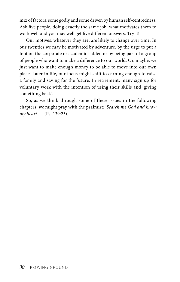mix of factors, some godly and some driven by human self-centredness. Ask five people, doing exactly the same job, what motivates them to work well and you may well get five different answers. Try it!

Our motives, whatever they are, are likely to change over time. In our twenties we may be motivated by adventure, by the urge to put a foot on the corporate or academic ladder, or by being part of a group of people who want to make a difference to our world. Or, maybe, we just want to make enough money to be able to move into our own place. Later in life, our focus might shift to earning enough to raise a family and saving for the future. In retirement, many sign up for voluntary work with the intention of using their skills and 'giving something back'.

So, as we think through some of these issues in the following chapters, we might pray with the psalmist: '*Search me God and know my heart* …' (Ps. 139:23).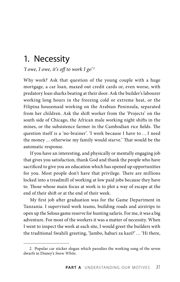## 1. Necessity

#### *'I owe, I owe, it's off to work I go'* <sup>2</sup>

Why work? Ask that question of the young couple with a huge mortgage, a car loan, maxed out credit cards or, even worse, with predatory loan sharks beating at their door. Ask the builder's labourer working long hours in the freezing cold or extreme heat, or the Filipina housemaid working on the Arabian Peninsula, separated from her children. Ask the shift worker from the 'Projects' on the south side of Chicago, the African male working night shifts in the mines, or the subsistence farmer in the Cambodian rice fields. The question itself is a 'no-brainer'. 'I work because I have to … I need the money … otherwise my family would starve.' That would be the automatic response.

If you have an interesting, and physically or mentally engaging job that gives you satisfaction, thank God and thank the people who have sacrificed to give you an education which has opened up opportunities for you. Most people don't have that privilege. There are millions locked into a treadmill of working at low paid jobs because they have to. Those whose main focus at work is to plot a way of escape at the end of their shift or at the end of their week.

My first job after graduation was for the Game Department in Tanzania. I supervised work teams, building roads and airstrips to open up the Selous game reserve for hunting safaris. For me, it was a big adventure. For most of the workers it was a matter of necessity. When I went to inspect the work at each site, I would greet the builders with the traditional Swahili greeting, 'Jambo, habari za kazi?'… 'Hi there,

<sup>2.</sup> Popular car sticker slogan which parodies the working song of the seven dwarfs in Disney's *Snow White*.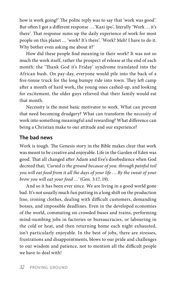how is work going?' The polite reply was to say that 'work was good'. But often I got a different response … 'Kazi ipo', literally 'Work … it's there'. That response sums up the daily experience of work for most people on this planet … 'work? It's there'. 'Work? Meh! I have to do it. Why bother even asking me about it?'

How did these people find meaning in their work? It was not so much the work itself, rather the prospect of release at the end of each month: the 'Thank God it's Friday' syndrome translated into the African bush. On pay-day, everyone would pile into the back of a five-tonne truck for the long bumpy ride into town. They left camp after a month of hard work, the young ones cashed-up, and looking for excitement, the older guys relieved that their family would eat that month.

Necessity is the most basic motivator to work. What can prevent that need becoming drudgery? What can transform the *necessity* of work into something meaningful and rewarding? What difference can being a Christian make to our attitude and our experience?

#### **The bad news**

Work is tough. The Genesis story in the Bible makes clear that work was meant to be creative and enjoyable. Life in the Garden of Eden was good. That all changed after Adam and Eve's disobedience when God decreed that; *'Cursed is the ground because of you: through painful toil you will eat food from it all the days of your life* … *By the sweat of your brow you will eat your food* …*'* (Gen. 3:17, 19).

And so it has been ever since. We are living in a good world gone bad. It's not usually much fun putting in a long shift on the production line, ironing clothes, dealing with difficult customers, demanding bosses, and impossible deadlines. Even in the developed economies of the world, commuting on crowded buses and trains, performing mind-numbing jobs in factories or bureaucracies, or labouring in the cold or heat, and then returning home each night exhausted, isn't particularly enjoyable. In the best of jobs, there are stresses, frustrations and disappointments, blows to our pride and challenges to our wisdom and patience, not to mention all the difficult people we have to deal with!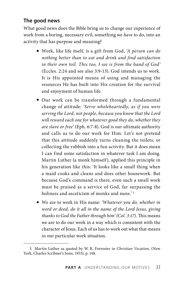### **The good news**

What good news does the Bible bring us to change our experience of work from a boring, necessary evil, something we *have* to do, into an activity that has purpose and meaning?

- Work, like life itself, is a gift from God, '*A person can do nothing better than to eat and drink and find satisfaction in their own toil. This too, I see is from the hand of God'*  (Eccles. 2:24 and see also 3:9-13). God intends us to work. It is His appointed means of using and managing the resources He has built into His creation for the survival and enjoyment of human life.
- Our work can be transformed through a fundamental change of attitude: *'Serve wholeheartedly, as if you were serving the Lord, not people, because you know that the Lord will reward each one for whatever good they do, whether they are slave or free'* (Eph. 6:7-8). God is our ultimate authority and calls us to do our work for Him. Let's not pretend that this attitude suddenly turns cleaning the toilets, or collecting the rubbish into a fun activity. But it does mean I can find some satisfaction in whatever task I am doing. Martin Luther (a monk himself), applied this principle in his generation like this: 'It looks like a small thing when a maid cooks and cleans and does other housework. But because God's command is there, even such a small work must be praised as a service of God, far surpassing the holiness and asceticism of monks and nuns.<sup>3</sup>
- We are to work in His name: *'Whatever you do, whether in word or deed, do it all in the name of the Lord Jesus, giving thanks to God the Father through him' (Col. 3:17).* This means we are to do our work in a way which is consistent with the character of Jesus. Each of us has to work out what that means in our particular work situation.

<sup>3.</sup> Martin Luther as quoted by W. R. Forrester in *Christian Vocation*, (New York, Charles Scribner's Sons, 1953), p. 148.